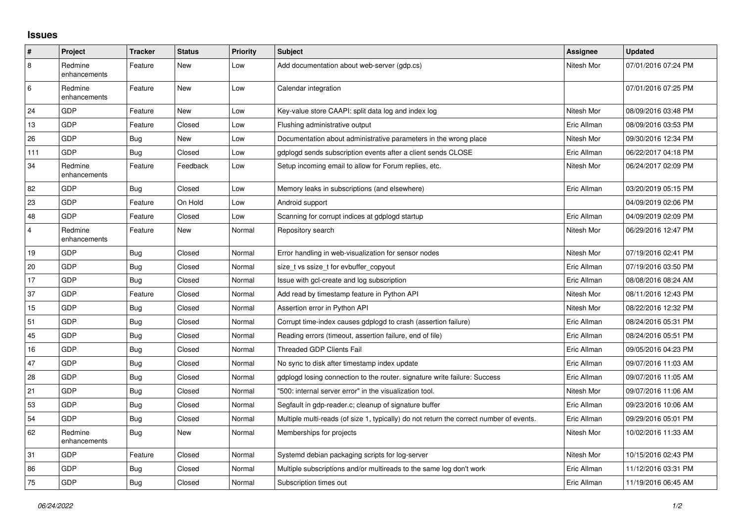## **Issues**

| #              | Project                 | <b>Tracker</b> | <b>Status</b> | <b>Priority</b> | <b>Subject</b>                                                                          | Assignee    | Updated             |
|----------------|-------------------------|----------------|---------------|-----------------|-----------------------------------------------------------------------------------------|-------------|---------------------|
| $\overline{8}$ | Redmine<br>enhancements | Feature        | New           | Low             | Add documentation about web-server (gdp.cs)                                             | Nitesh Mor  | 07/01/2016 07:24 PM |
| 6              | Redmine<br>enhancements | Feature        | New           | Low             | Calendar integration                                                                    |             | 07/01/2016 07:25 PM |
| 24             | GDP                     | Feature        | New           | Low             | Key-value store CAAPI: split data log and index log                                     | Nitesh Mor  | 08/09/2016 03:48 PM |
| 13             | GDP                     | Feature        | Closed        | Low             | Flushing administrative output                                                          | Eric Allman | 08/09/2016 03:53 PM |
| 26             | GDP                     | Bug            | New           | Low             | Documentation about administrative parameters in the wrong place                        | Nitesh Mor  | 09/30/2016 12:34 PM |
| 111            | GDP                     | Bug            | Closed        | Low             | gdplogd sends subscription events after a client sends CLOSE                            | Eric Allman | 06/22/2017 04:18 PM |
| 34             | Redmine<br>enhancements | Feature        | Feedback      | Low             | Setup incoming email to allow for Forum replies, etc.                                   | Nitesh Mor  | 06/24/2017 02:09 PM |
| 82             | <b>GDP</b>              | <b>Bug</b>     | Closed        | Low             | Memory leaks in subscriptions (and elsewhere)                                           | Eric Allman | 03/20/2019 05:15 PM |
| 23             | GDP                     | Feature        | On Hold       | Low             | Android support                                                                         |             | 04/09/2019 02:06 PM |
| 48             | GDP                     | Feature        | Closed        | Low             | Scanning for corrupt indices at gdplogd startup                                         | Eric Allman | 04/09/2019 02:09 PM |
| $\overline{4}$ | Redmine<br>enhancements | Feature        | New           | Normal          | Repository search                                                                       | Nitesh Mor  | 06/29/2016 12:47 PM |
| 19             | GDP                     | <b>Bug</b>     | Closed        | Normal          | Error handling in web-visualization for sensor nodes                                    | Nitesh Mor  | 07/19/2016 02:41 PM |
| 20             | GDP                     | Bug            | Closed        | Normal          | size t vs ssize t for evbuffer copyout                                                  | Eric Allman | 07/19/2016 03:50 PM |
| 17             | GDP                     | Bug            | Closed        | Normal          | Issue with gcl-create and log subscription                                              | Eric Allman | 08/08/2016 08:24 AM |
| 37             | GDP                     | Feature        | Closed        | Normal          | Add read by timestamp feature in Python API                                             | Nitesh Mor  | 08/11/2016 12:43 PM |
| 15             | GDP                     | Bug            | Closed        | Normal          | Assertion error in Python API                                                           | Nitesh Mor  | 08/22/2016 12:32 PM |
| 51             | GDP                     | Bug            | Closed        | Normal          | Corrupt time-index causes gdplogd to crash (assertion failure)                          | Eric Allman | 08/24/2016 05:31 PM |
| 45             | GDP                     | Bug            | Closed        | Normal          | Reading errors (timeout, assertion failure, end of file)                                | Eric Allman | 08/24/2016 05:51 PM |
| 16             | GDP                     | Bug            | Closed        | Normal          | Threaded GDP Clients Fail                                                               | Eric Allman | 09/05/2016 04:23 PM |
| 47             | GDP                     | Bug            | Closed        | Normal          | No sync to disk after timestamp index update                                            | Eric Allman | 09/07/2016 11:03 AM |
| 28             | GDP                     | <b>Bug</b>     | Closed        | Normal          | gdplogd losing connection to the router. signature write failure: Success               | Eric Allman | 09/07/2016 11:05 AM |
| 21             | GDP                     | <b>Bug</b>     | Closed        | Normal          | '500: internal server error" in the visualization tool.                                 | Nitesh Mor  | 09/07/2016 11:06 AM |
| 53             | GDP                     | Bug            | Closed        | Normal          | Segfault in gdp-reader.c; cleanup of signature buffer                                   | Eric Allman | 09/23/2016 10:06 AM |
| 54             | GDP                     | Bug            | Closed        | Normal          | Multiple multi-reads (of size 1, typically) do not return the correct number of events. | Eric Allman | 09/29/2016 05:01 PM |
| 62             | Redmine<br>enhancements | Bug            | New           | Normal          | Memberships for projects                                                                | Nitesh Mor  | 10/02/2016 11:33 AM |
| 31             | GDP                     | Feature        | Closed        | Normal          | Systemd debian packaging scripts for log-server                                         | Nitesh Mor  | 10/15/2016 02:43 PM |
| 86             | GDP                     | Bug            | Closed        | Normal          | Multiple subscriptions and/or multireads to the same log don't work                     | Eric Allman | 11/12/2016 03:31 PM |
| 75             | GDP                     | Bug            | Closed        | Normal          | Subscription times out                                                                  | Eric Allman | 11/19/2016 06:45 AM |